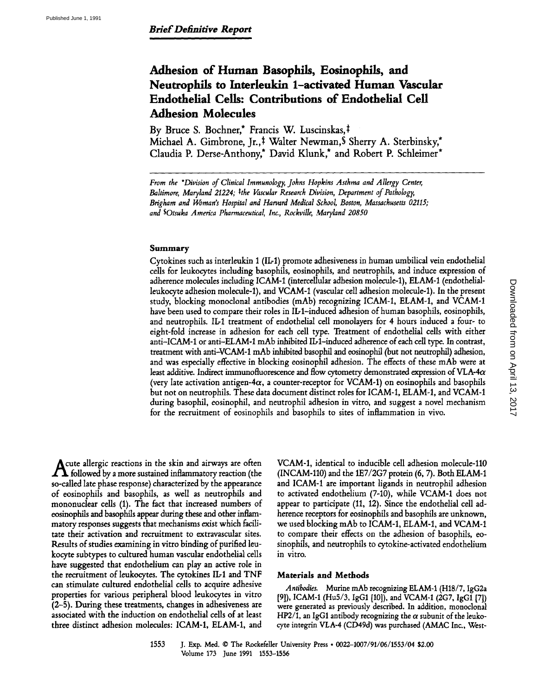# Adhesion of Human Basophils, Eosinophils, and Neutrophils to Interleukin 1-activated Human Vascular Endothelial Cells: Contributions of Endothelial Cell Adhesion Molecules

By Bruce S. Bochner,\* Francis W. Luscinskas,‡ Michael A. Gimbrone, Jr.,<sup>‡</sup> Walter Newman, S Sherry A. Sterbinsky,\* Claudia P. Derse-Anthony,\* David Klunk,\* and Robert P. Schleimer\*

From the \*Division of Clinical Immunology, Johns Hopkins Asthma and Allergy Center, Baltimore, Maryland 21224;  $*$ the Vascular Research Division, Department of Pathology, Brigham and Woman's Hospital and Harvard Medical School, Boston, Massachusetts 02115, and SOtsuka America Pharmaceutical, Inc., Rockville, Maryland 20850

#### Summary

Cytokines such as interleukin <sup>1</sup> (ILl) promote adhesiveness in human umbilical vein endothelial cells for leukocytes including basophils, eosinophils, and neutrophils, and induce expression of adherence molecules including ICAM-1 (intercellular adhesion molecule-1), ELAM-1(endothelialleukocyte adhesion molecule-1), and VCAM-1 (vascular cell adhesion molecule-1) . In the present study, blocking monoclonal antibodies (mAb) recognizing ICAM-1, ELAM-1, and VCAM-1 have been used to compare their roles in IL-1-induced adhesion of human basophils, eosinophils, and neutrophils. IL-I treatment of endothelial cell monolayers for 4 hours induced a four- to eight-fold increase in adhesion for each cell type. Treatment of endothelial cells with either anti-ICAM-1 or anti-ELAM-1 mAb inhibited IL-1-induced adherence of each cell type. In contrast, treatment with anti-VCAM-1 mAb inhibited basophil and eosinophil (but not neutrophil) adhesion, and was especially effective in blocking eosinophil adhesion. The effects of these mAb were at least additive. Indirect immunofluorescence and flow cytometry demonstrated expression of VLA-4 $\alpha$ (very late activation antigen-4cx, <sup>a</sup> counter-receptor for VCAM-1) on eosinophils and basophils but not on neutrophils . These data document distinct roles for ICAM-1, ELAM-1, and VCAM-1 during basophil, eosinophil, and neutrophil adhesion in vitro, and suggest a novel mechanism for the recruitment of eosinophils and basophils to sites of inflammation in vivo.

Acute allergic reactions in the skin and airways are often  $\boldsymbol{\Lambda}$  followed by a more sustained inflammatory reaction (the so-called late phase response) characterized by the appearance of eosinophils and basophils, as well as neutrophils and mononuclear cells (1). The fact that increased numbers of eosinophils and basophils appear during these and other mflammatory responses suggests that mechanisms exist which facilitate their activation and recruitment to extravascular sites. Results of studies examining in vitro binding of purified leukocyte subtypes to cultured human vascular endothelial cells have suggested that endothelium can play an active role in the recruitment of leukocytes. The cytokines IL-1 and TNF can stimulate cultured endothelial cells to acquire adhesive properties for various peripheral blood leukocytes in vitro (2-5) . During these treatments, changes in adhesiveness are associated with the induction on endothelial cells of at least three distinct adhesion molecules: ICAM-1, ELAM-1, and VCAM-1, identical to inducible cell adhesion molecule-110 (INCAM-110) and the 1E7/2G7 protein (6, 7). Both ELAM-1 and ICAM-1 are important ligands in neutrophil adhesion to activated endothelium (7-10), while VCAM-1 does not appear to participate (11, 12) . Since the endothelial cell adherence receptors for eosinophils and basophils are unknown, we used blocking mAb to ICAM-1, ELAM-1, and VCAM-1 to compare their effects on the adhesion of basophils, eosinophils, and neutrophils to cytokine-activated endothelium in vitro.

## Materials and Methods

Antibodies. Murine mAb recognizing ELAM-1 (H18/7, IgG2a [91), ICAM-1 (Hu5/3, IgG1 [10]), and VCAM-1 (2G7, IgG1 [7]) were generated as previously described. In addition, monoclonal HP2/1, an IgG1 antibody recognizing the  $\alpha$  subunit of the leukocyte integrin VLA-4 (CD49d) was purchased (AMACInc., West-

<sup>1553</sup> J. Exp. Med. m The Rockefeller University Press \* 0022-1007/91/06/1553/04 \$2 .00 Volume 173 June 1991 1553-1556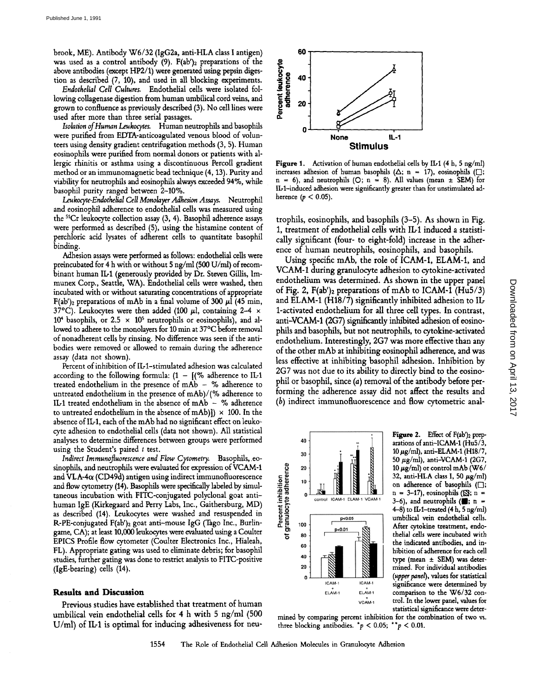brook, ME). Antibody W6/32(IgG2a, anti-HLA class <sup>I</sup> antigen) was used as a control antibody (9). F(ab')2 preparations of the above antibodies (except HP2/1) were generated using pepsin digestion as described (7, 10), and used in all blocking experiments.

Endothelial Cell Cultures. Endothelial cells were isolated following collagenase digestion from human umbilical cord veins, and grown to confluence as previously described (3). No cell lines were used after more than three serial passages.

Isolation of Human Leukocytes. Human neutrophils and basophils were purified from EDTA-anticoagulated venous blood of volunteers using density gradient centrifugation methods (3, 5) . Human eosinophils were purified from normal donors or patients with allergic rhinitis or asthma using a discontinuous Percoll gradient method or an immunomagnetic bead technique (4,13) . Purity and viability for neutrophils and eosinophils always exceeded 94%, while basophil purity ranged between 2-10%.

Leukocyte-Endothelial Cell Monolayer Adhesion Assays. Neutrophil and eosinophil adherence to endothelial cells was measured using the <sup>51</sup>Cr leukocyte collection assay (3, 4). Basophil adherence assays were performed as described (5), using the histamine content of perchloric acid lysates of adherent cells to quantitate basophil binding.

Adhesion assays were performed as follows: endothelial cells were preincubated for 4 hwith or without <sup>5</sup> ng/ml (500 U/ml) of recombinant human IL-1 (generously provided by Dr. Steven Gillis, Immunex Corp., Seattle, WA). Endothelial cells were washed, then incubated with or without saturating concentrations of appropriate F(ab')<sub>2</sub> preparations of mAb in a final volume of 300  $\mu$ l (45 min, 37°C). Leukocytes were then added (100  $\mu$ l, containing 2-4  $\times$ 10<sup>4</sup> basophils, or 2.5  $\times$  10<sup>5</sup> neutrophils or eosinophils), and allowed to adhere to the monolayers for 10 min at 37°C before removal of nonadherent cells by rinsing. No difference was seen if the antibodies were removed or allowed to remain during the adherence assay (data not shown).

Percent of inhibition of IL-1-stimulated adhesion was calculated according to the following formula:  $(1 - ((\%) )$  adherence to IL-1 treated endothelium in the presence of mAb - % adherence to untreated endothelium in the presence of mAb)/(% adherence to IL-1 treated endothelium in the absence of  $mAb - %$  adherence to untreated endothelium in the absence of mAb)])  $\times$  100. In the absence of IL-1, each of the mAb had no significant effect on leukocyte adhesion to endothelial cells (data not shown) . All statistical analyses to determine differences between groups were performed using the Student's paired  $t$  test.

Indirect Immunofuorescence and Flow Cytometry. Basophils, .eosinophils, and neutrophils were evaluated for expression of VCAM-1 and VLA-4 $\alpha$  (CD49d) antigen using indirect immunofluorescence and flow cytometry (14). Basophils were specifically labeled by simultaneous incubation with FITC-conjugated polyclonal goat antihuman IgE (Kirkegaard and Perry Labs, Inc., Gaithersburg, MD) as described (14) . Leukocytes were washed and resuspended in R-PE-conjugated F(ab')2 goat anti-mouse IgG (Tago Inc., Burlingame, CA); at least 10,000 leukocytes were evaluated using a Coulter EPICS Profile flow cytometer (Coulter Electronics Inc., Hialeah, FL). Appropriate gating was used to eliminate debris; for basophil studies, further gating was done to restrict analysis to FITC-positive (IgE-bearing) cells (14) .

### Results and Discussion

Previous studies have established that treatment of human umbilical vein endothelial cells for 4 h with 5 ng/ml (500  $U/ml$ ) of IL-1 is optimal for inducing adhesiveness for neu-



Figure 1. Activation of human endothelial cells by IL-1  $(4 h, 5 ng/ml)$ increases adhesion of human basophils ( $\Delta$ ; n = 17), eosinophils ( $\square$ ;  $n = 6$ ), and neutrophils (O;  $n = 8$ ). All values (mean  $\pm$  SEM) for ILI-induced adhesion were significantly greater than for unstimulated adherence  $(p < 0.05)$ .

trophils, eosinophils, and basophils (3-5). As shown in Fig. 1, treatment of endothelial cells with IL-1 induced a statistically significant (four- to eight-fold) increase in the adherence of human neutrophils, eosinophils, and basophils.

Using specific mAb, the role of ICAM-1, ELAM-1, and VCAM-1 during granulocyte adhesion to cytokine-activated endothelium was determined. As shown in the upper panel of Fig. 2,  $F(ab')_2$  preparations of mAb to ICAM-1 (Hu5/3) and ELAM-1 (H18/7) significantly inhibited adhesion to IL-1-activated endothelium for all three cell types. In contrast, anti-VCAM-1 (2G7) significantly inhibited adhesion of eosinophils and basophils, but not neutrophils, to cytokine-activated endothelium. Interestingly, 2G7 was more effective than any of the other mAb at inhibiting eosinophil adherence, and was less effective at inhibiting basophil adhesion . Inhibition by 2G7 was not due to its ability to directly bind to the eosinophil or basophil, since (a) removal of the antibody before performing the adherence assay did not affect the results and (b) indirect immunofluorescence and flow cytometric anal-



Figure 2. Effect of F(ab')<sub>2</sub> preparations of anti-ICAM-1 (Hu5/3, 10 µg/ml), anti-ELAM-1 (H18/7, 50  $\mu$ g/ml), anti-VCAM-1 (2G7, 10  $\mu$ g/ml) or control mAb (W6/ 32, anti-HLA class I, 50  $\mu$ g/ml) on adherence of basophils  $(\Box)$ ;  $n = 3-17$ ), eosinophils ( $\mathbb{S}$ ; n = 3-6), and neutrophils ( $\blacksquare$ ; n =  $(4-8)$  to IL-1-treated  $(4 h, 5 ng/ml)$ umbilical vein endothelial cells. After cytokine treatment, endothelial cells were incubated with the indicated antibodies, and inhibition of adherence for each cell type (mean ± SEM) was determined. For individual antibodies (upper panel), values for statistical significance were determined by comparison to the W6/32 control. In the lower panel, values for statistical significance were deter

mined by comparing percent inhibition for the combination of two vs.<br>three blocking antibodies.  $\tau_p < 0.05$ ;  $\tau_p < 0.01$ . three blocking antibodies.  $p < 0.05$ ; \*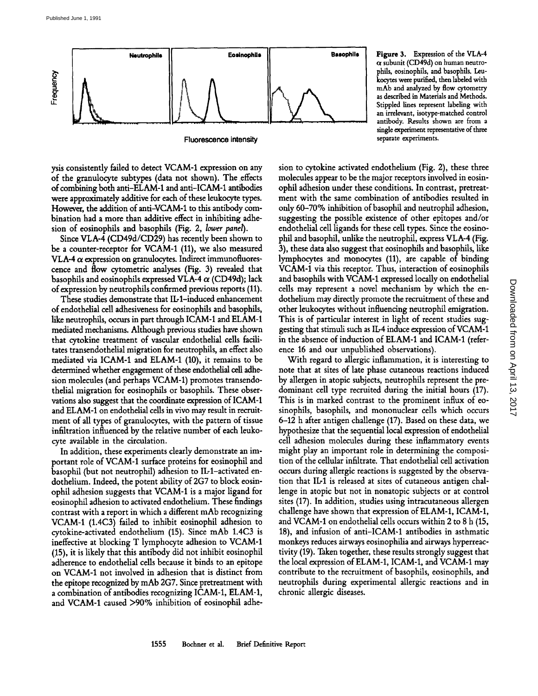

Fluorescence intensity

ysis consistently failed to detect VCAM-1 expression on any of the granulocyte subtypes (data not shown). The effects of combining both anti-ELAM-1 and anti-ICAM-1 antibodies were approximately additive for each of these leukocyte types. However, the addition of anti-VCAM-1 to this antibody combination had a more than additive effect in inhibiting adhesion of eosinophils and basophils (Fig. 2, lower panel).

Since VLA-4 (CD49d/CD29) has recently been shown to be <sup>a</sup> counter-receptor for VCAM-1 (11), we also measured VLA-4  $\alpha$  expression on granulocytes. Indirect immunofluorescence and flow cytometric analyses (Fig. 3) revealed that basophils and eosinophils expressed VLA-4  $\alpha$  (CD49d); lack of expression by neutrophils confirmed previous reports (11).

These studies demonstrate that IL-1-induced enhancement of endothelial cell adhesiveness for eosinophils and basophils, like neutrophils, occurs in part through ICAM-1 and ELAM-1 mediated mechanisms. Although previous studies have shown that cytokine treatment of vascular endothelial cells facilitates transendothelial migration for neutrophils, an effect also mediated via ICAM-1 and ELAM-1 (10), it remains to be determined whether engagement of these endothelial cell adhesion molecules (and perhaps VCAM-1) promotes transendothelial migration for eosinophils or basophils. These observations also suggest that the coordinate expression of ICAM-1 and ELAM-1 on endothelial cells in vivo may result in recruitment of all types of granulocytes, with the pattern of tissue infiltration influenced by the relative number of each leukocyte available in the circulation.

In addition, these experiments clearly demonstrate an important role of VCAM-1 surface proteins for eosinophil and basophil (but not neutrophil) adhesion to IL-1-activated endothelium. Indeed, the potent ability of 2G7 to block eosinophil adhesion suggests that VCAM-1 is <sup>a</sup> major ligand for eosinophil adhesion to activated endothelium. These findings contrast with a report in which <sup>a</sup> different mAb recognizing VCAM-1 (1.4C3) failed to inhibit eosinophil adhesion to cytokine-activated endothelium (15). Since mAb 1.4C3 is ineffective at blocking T lymphocyte adhesion to VCAM-1 (15), it is likely that this antibody did not inhibit eosinophil adherence to endothelial cells because it binds to an epitope on VCAM-1 not involved in adhesion that is distinct from the epitope recognized by mAb 2G7. Since pretreatment with <sup>a</sup> combination of antibodies recognizing ICAM-1, ELAM-1, and VCAM-1 caused >90% inhibition of eosinophil adhe-



sion to cytokine activated endothelium (Fig. 2), these three molecules appear to be the major receptors involved in eosinophil adhesion under these conditions. In contrast, pretreatment with the same combination of antibodies resulted in only 60-70% inhibition of basophil and neutrophil adhesion, suggesting the possible existence of other epitopes and/or endothelial cell ligands for these cell types. Since the eosinophil and basophil, unlike the neutrophil, express VLA4 (Fig. 3), these data also suggest that eosinophils and basophils, like lymphocytes and monocytes (11), are capable of binding VCAM-1 via this receptor. Thus, interaction of eosinophils and basophils with VCAM-1 expressed locally on endothelial cells may represent <sup>a</sup> novel mechanism by which the endothelium may directly promote the recruitment of these and other leukocytes without influencing neutrophil emigration. This is of particular interest in light of recent studies suggesting that stimuli such as IL-4 induce expression of VCAM-1 in the absence of induction of ELAM-1 and ICAM-1 (reference 16 and our unpublished observations).

With regard to allergic inflammation, it is interesting to note that at sites of late phase cutaneous reactions induced by allergen in atopic subjects, neutrophils represent the predominant cell type recruited during the initial hours (17). This is in marked contrast to the prominent influx of eosinophils, basophils, and mononuclear cells which occurs 6-12 h after antigen challenge (17) . Based on these data, we hypothesize that the sequential local expression of endothelial cell adhesion molecules during these inflammatory events might play an important role in determining the composition of the cellular infiltrate. That endothelial cell activation occurs during allergic reactions is suggested by the observation that IL-1 is released at sites of cutaneous antigen challenge in atopic but not in nonatopic subjects or at control sites (17) . In addition, studies using intracutaneous allergen challenge have shown that expression of ELAM-1, ICAM-1, and VCAM-1 on endothelial cells occurs within <sup>2</sup> to 8 h (15, 18), and infusion of anti-ICAM-1 antibodies in asthmatic monkeys reduces airways eosinophilia and airways hyperreactivity (19). Taken together, these results strongly suggest that the local expression of ELAM-1, ICAM-1, and VCAM-1 may contribute to the recruitment of basophils, eosinophils, and neutrophils during experimental allergic reactions and in chronic allergic diseases.